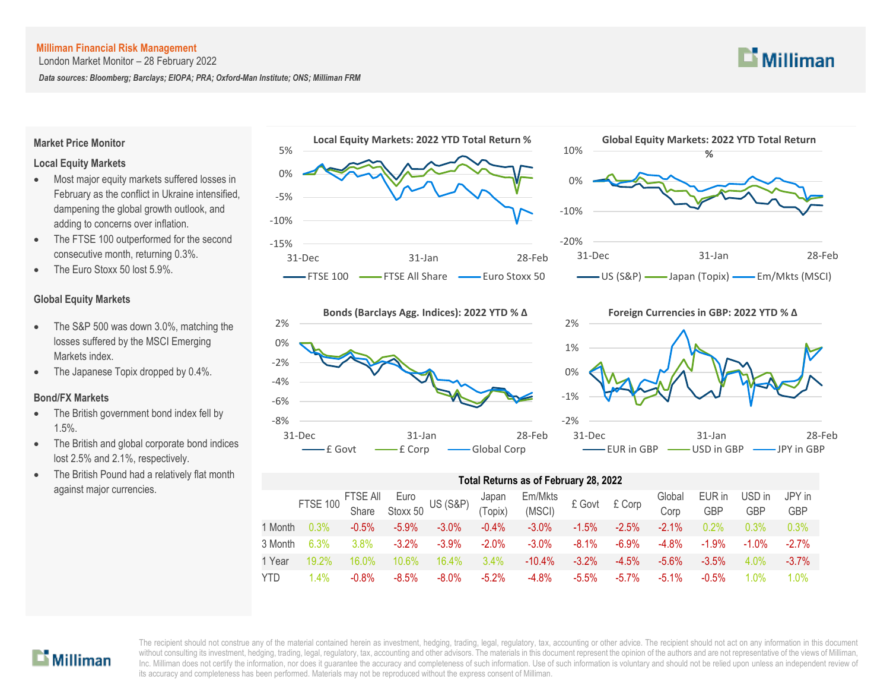London Market Monitor – 28 February 2022

*Data sources: Bloomberg; Barclays; EIOPA; PRA; Oxford-Man Institute; ONS; Milliman FRM*



#### **Market Price Monitor**

#### **Local Equity Markets**

- Most major equity markets suffered losses in February as the conflict in Ukraine intensified, dampening the global growth outlook, and adding to concerns over inflation.
- The FTSE 100 outperformed for the second consecutive month, returning 0.3%.
- The Euro Stoxx 50 lost 5.9%.

#### **Global Equity Markets**

- The S&P 500 was down 3.0%, matching the losses suffered by the MSCI Emerging Markets index.
- The Japanese Topix dropped by 0.4%.

#### **Bond/FX Markets**

- The British government bond index fell by 1.5%.
- The British and global corporate bond indices lost 2.5% and 2.1%, respectively.
- The British Pound had a relatively flat month against major currencies.









#### **Total Returns as of February 28, 2022**

|         |          |          |          | FTSE 100 FTSE All Euro<br>Share Stoxx 50 US (S&P) | Japan<br>(Topix) | Em/Mkts<br>(MSCI) | £ Govt £ Corp |          | Global<br>Corp | EUR in<br><b>GBP</b> | USD in<br><b>GBP</b> | JPY in<br><b>GBP</b> |
|---------|----------|----------|----------|---------------------------------------------------|------------------|-------------------|---------------|----------|----------------|----------------------|----------------------|----------------------|
| 1 Month | 0.3%     | $-0.5%$  | $-5.9\%$ | $-3.0\%$                                          | $-0.4\%$         | $-3.0\%$          | $-1.5\%$      | $-2.5\%$ | $-2.1\%$       | 0.2%                 | 0.3%                 | 0.3%                 |
| 3 Month | 6.3%     | 3.8%     | $-3.2%$  | $-3.9\%$                                          | $-2.0%$          | $-3.0\%$          | $-8.1\%$      | $-6.9\%$ | $-4.8%$        | $-1.9\%$             | $-1.0%$              | $-2.7%$              |
| 1 Year  | $19.2\%$ | 16.0%    | $10.6\%$ | 16.4%                                             | $3.4\%$          | $-10.4%$          | $-3.2%$       | $-4.5%$  | $-5.6\%$       | $-3.5%$              | $4.0\%$              | $-3.7\%$             |
| YTD     | $1.4\%$  | $-0.8\%$ | $-8.5%$  | $-8.0\%$                                          | $-5.2%$          | $-4.8%$           | $-5.5\%$      | $-5.7\%$ | $-5.1\%$       | $-0.5%$              | 1.0%                 | $1.0\%$              |

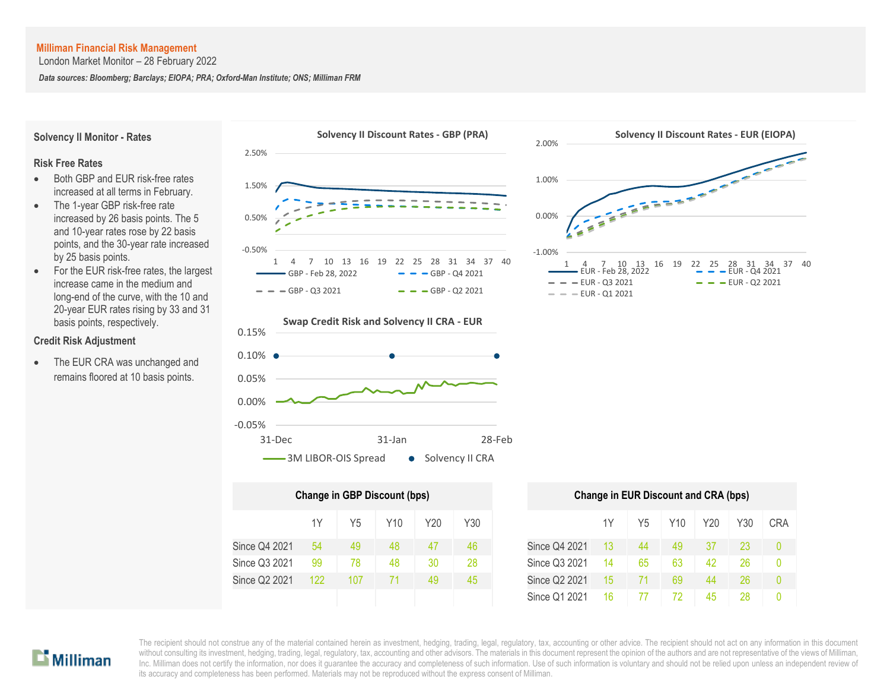London Market Monitor – 28 February 2022

*Data sources: Bloomberg; Barclays; EIOPA; PRA; Oxford-Man Institute; ONS; Milliman FRM*

Since Q3 2021 Since Q2 2021



# $\mathbf{D}$  Milliman

The recipient should not construe any of the material contained herein as investment, hedging, trading, legal, regulatory, tax, accounting or other advice. The recipient should not act on any information in this document without consulting its investment, hedging, trading, legal, regulatory, tax, accounting and other advisors. The materials in this document represent the opinion of the authors and are not representative of the views of Mil Inc. Milliman does not certify the information, nor does it guarantee the accuracy and completeness of such information. Use of such information is voluntary and should not be relied upon unless an independent review of its accuracy and completeness has been performed. Materials may not be reproduced without the express consent of Milliman.

Since Q3 2021 99 | 78 | 48 | 30 | 28 | Since Q3 2021 14 | 65 | 63 | 42 | 26 | 0 Since Q2 2021 122 107 71 49 45 Since Q2 2021 15 71 69 44 26 0

Since Q1 2021 16 77 72 45 28 0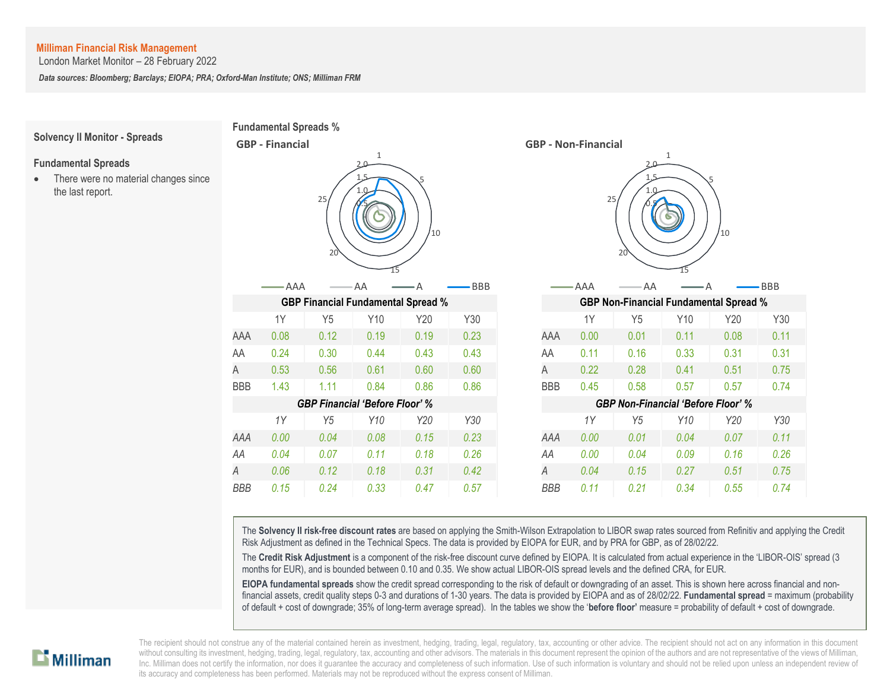London Market Monitor – 28 February 2022

*Data sources: Bloomberg; Barclays; EIOPA; PRA; Oxford-Man Institute; ONS; Milliman FRM*

**Fundamental Spreads %**

**GBP - Financial**

## **Solvency II Monitor - Spreads**

#### **Fundamental Spreads**

• There were no material changes since the last report.

|                                       | $\mathbf{1}$<br>$2.0 -$<br>25<br>'10<br>20 |                |      |      |            |                                           | $\mathbf{1}$<br>$2.0 -$<br>5<br>25<br>'10<br>20 |                |      |      |            |  |  |
|---------------------------------------|--------------------------------------------|----------------|------|------|------------|-------------------------------------------|-------------------------------------------------|----------------|------|------|------------|--|--|
|                                       | -AAA                                       |                | AA   |      | <b>BBB</b> |                                           | AAA                                             | AA             |      |      | <b>BBB</b> |  |  |
|                                       | <b>GBP Financial Fundamental Spread %</b>  |                |      |      |            |                                           | <b>GBP Non-Financial Fundamental Spread %</b>   |                |      |      |            |  |  |
|                                       | 1Y                                         | Y5             | Y10  | Y20  | Y30        |                                           | 1Y                                              | Y5             | Y10  | Y20  | Y30        |  |  |
| AAA                                   | 0.08                                       | 0.12           | 0.19 | 0.19 | 0.23       | AAA                                       | 0.00                                            | 0.01           | 0.11 | 0.08 | 0.11       |  |  |
| AA                                    | 0.24                                       | 0.30           | 0.44 | 0.43 | 0.43       | AA                                        | 0.11                                            | 0.16           | 0.33 | 0.31 | 0.31       |  |  |
| Α                                     | 0.53                                       | 0.56           | 0.61 | 0.60 | 0.60       | A                                         | 0.22                                            | 0.28           | 0.41 | 0.51 | 0.75       |  |  |
| <b>BBB</b>                            | 1.43                                       | 1.11           | 0.84 | 0.86 | 0.86       | <b>BBB</b>                                | 0.45                                            | 0.58           | 0.57 | 0.57 | 0.74       |  |  |
| <b>GBP Financial 'Before Floor' %</b> |                                            |                |      |      |            | <b>GBP Non-Financial 'Before Floor' %</b> |                                                 |                |      |      |            |  |  |
|                                       | 1Y                                         | Y <sub>5</sub> | Y10  | Y20  | Y30        |                                           | 1Y                                              | Y <sub>5</sub> | Y10  | Y20  | Y30        |  |  |
| AAA                                   | 0.00                                       | 0.04           | 0.08 | 0.15 | 0.23       | AAA                                       | 0.00                                            | 0.01           | 0.04 | 0.07 | 0.11       |  |  |
| AA                                    | 0.04                                       | 0.07           | 0.11 | 0.18 | 0.26       | AA                                        | 0.00                                            | 0.04           | 0.09 | 0.16 | 0.26       |  |  |
| Α                                     | 0.06                                       | 0.12           | 0.18 | 0.31 | 0.42       | A                                         | 0.04                                            | 0.15           | 0.27 | 0.51 | 0.75       |  |  |
| <b>BBB</b>                            | 0.15                                       | 0.24           | 0.33 | 0.47 | 0.57       | <b>BBB</b>                                | 0.11                                            | 0.21           | 0.34 | 0.55 | 0.74       |  |  |



The **Solvency II risk-free discount rates** are based on applying the Smith-Wilson Extrapolation to LIBOR swap rates sourced from Refinitiv and applying the Credit Risk Adjustment as defined in the Technical Specs. The data is provided by EIOPA for EUR, and by PRA for GBP, as of 28/02/22.

The **Credit Risk Adjustment** is a component of the risk-free discount curve defined by EIOPA. It is calculated from actual experience in the 'LIBOR-OIS' spread (3 months for EUR), and is bounded between 0.10 and 0.35. We show actual LIBOR-OIS spread levels and the defined CRA, for EUR.

**EIOPA fundamental spreads** show the credit spread corresponding to the risk of default or downgrading of an asset. This is shown here across financial and nonfinancial assets, credit quality steps 0-3 and durations of 1-30 years. The data is provided by EIOPA and as of 28/02/22. **Fundamental spread** = maximum (probability of default + cost of downgrade; 35% of long-term average spread). In the tables we show the '**before floor'** measure = probability of default + cost of downgrade.

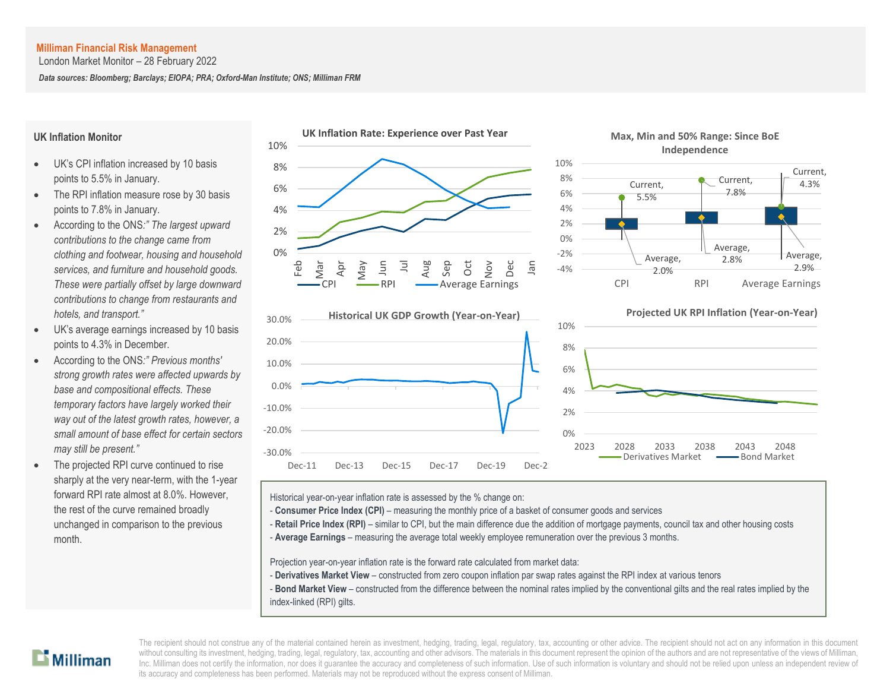London Market Monitor – 28 February 2022

*Data sources: Bloomberg; Barclays; EIOPA; PRA; Oxford-Man Institute; ONS; Milliman FRM*

#### **UK Inflation Monitor**

- UK's CPI inflation increased by 10 basis points to 5.5% in January.
- The RPI inflation measure rose by 30 basis points to 7.8% in January.
- According to the ONS*:" The largest upward contributions to the change came from clothing and footwear, housing and household services, and furniture and household goods. These were partially offset by large downward contributions to change from restaurants and hotels, and transport."*
- UK's average earnings increased by 10 basis points to 4.3% in December.
- According to the ONS*:" Previous months' strong growth rates were affected upwards by base and compositional effects. These temporary factors have largely worked their way out of the latest growth rates, however, a small amount of base effect for certain sectors may still be present."*
- The projected RPI curve continued to rise sharply at the very near-term, with the 1-year forward RPI rate almost at 8.0%. However, the rest of the curve remained broadly unchanged in comparison to the previous month.







Historical year-on-year inflation rate is assessed by the % change on:

- **Consumer Price Index (CPI)** measuring the monthly price of a basket of consumer goods and services
- Retail Price Index (RPI) similar to CPI, but the main difference due the addition of mortgage payments, council tax and other housing costs
- A **Average Earnings** measuring the average total weekly employee remuneration over the previous 3 months.

Projection year-on-year inflation rate is the forward rate calculated from market data:

- **Derivatives Market View** constructed from zero coupon inflation par swap rates against the RPI index at various tenors
- **Bond Market View** constructed from the difference between the nominal rates implied by the conventional gilts and the real rates implied by the index-linked (RPI) gilts.

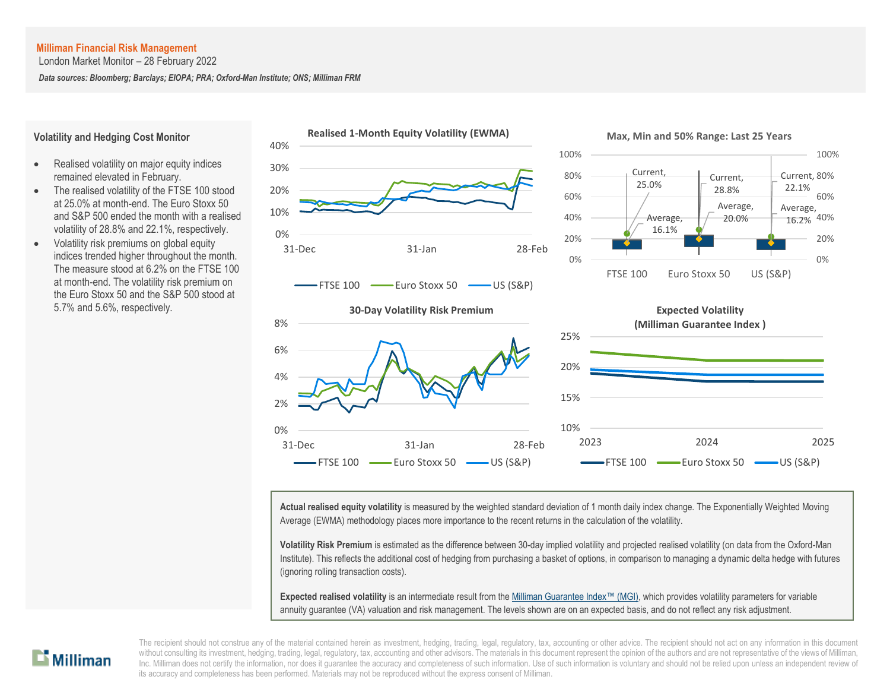London Market Monitor – 28 February 2022

*Data sources: Bloomberg; Barclays; EIOPA; PRA; Oxford-Man Institute; ONS; Milliman FRM*

#### **Volatility and Hedging Cost Monitor**

- Realised volatility on major equity indices remained elevated in February.
- The realised volatility of the FTSE 100 stood at 25.0% at month-end. The Euro Stoxx 50 and S&P 500 ended the month with a realised volatility of 28.8% and 22.1%, respectively.
- Volatility risk premiums on global equity indices trended higher throughout the month. The measure stood at 6.2% on the FTSE 100 at month-end. The volatility risk premium on the Euro Stoxx 50 and the S&P 500 stood at 5.7% and 5.6%, respectively.



**Actual realised equity volatility** is measured by the weighted standard deviation of 1 month daily index change. The Exponentially Weighted Moving Average (EWMA) methodology places more importance to the recent returns in the calculation of the volatility.

**Volatility Risk Premium** is estimated as the difference between 30-day implied volatility and projected realised volatility (on data from the Oxford-Man Institute). This reflects the additional cost of hedging from purchasing a basket of options, in comparison to managing a dynamic delta hedge with futures (ignoring rolling transaction costs).

**Expected realised volatility** is an intermediate result from th[e Milliman Guarantee Index](http://uk.milliman.com/Solutions/Products/The-Milliman-Guarantee-Index-and-Milliman-Hedge-Cost-Index/)™ (MGI), which provides volatility parameters for variable annuity guarantee (VA) valuation and risk management. The levels shown are on an expected basis, and do not reflect any risk adjustment.